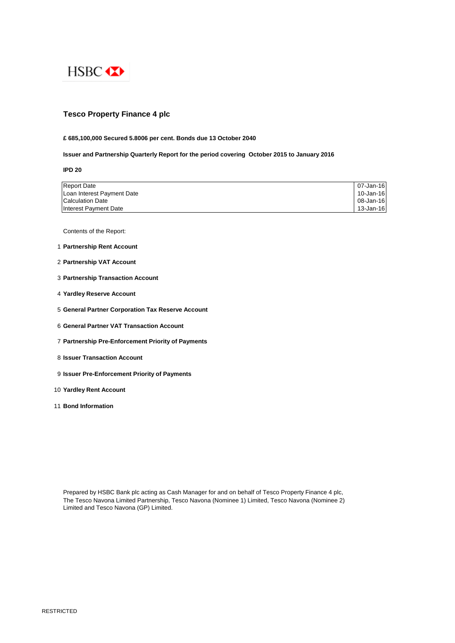

# **Tesco Property Finance 4 plc**

## **£ 685,100,000 Secured 5.8006 per cent. Bonds due 13 October 2040**

## **Issuer and Partnership Quarterly Report for the period covering October 2015 to January 2016**

**IPD 20**

| <b>Report Date</b>         | 07-Jan-16 |
|----------------------------|-----------|
| Loan Interest Payment Date | 10-Jan-16 |
| <b>Calculation Date</b>    | 08-Jan-16 |
| Interest Payment Date      | 13-Jan-16 |

Contents of the Report:

- 1 **Partnership Rent Account**
- 2 **Partnership VAT Account**
- 3 **Partnership Transaction Account**
- 4 **Yardley Reserve Account**
- 5 **General Partner Corporation Tax Reserve Account**
- 6 **General Partner VAT Transaction Account**
- 7 **Partnership Pre-Enforcement Priority of Payments**
- 8 **Issuer Transaction Account**
- 9 **Issuer Pre-Enforcement Priority of Payments**
- 10 **Yardley Rent Account**
- 11 **Bond Information**

Prepared by HSBC Bank plc acting as Cash Manager for and on behalf of Tesco Property Finance 4 plc, The Tesco Navona Limited Partnership, Tesco Navona (Nominee 1) Limited, Tesco Navona (Nominee 2) Limited and Tesco Navona (GP) Limited.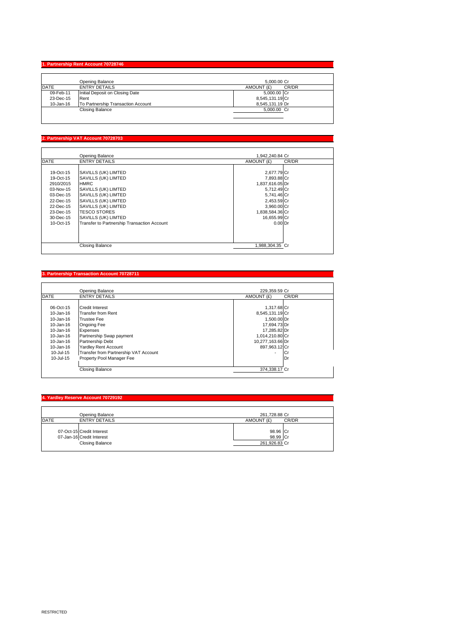### **1. Partnership Rent Account 707**

|               | Opening Balance                    | 5.000.00 Cr         |
|---------------|------------------------------------|---------------------|
| <b>IDATE</b>  | <b>ENTRY DETAILS</b>               | CR/DR<br>AMOUNT (£) |
| 09-Feb-11     | Initial Deposit on Closing Date    | 5,000.00 Cr         |
| 23-Dec-15     | Rent                               | 8,545,131.19 Cr     |
| $10 - Jan-16$ | To Partnership Transaction Account | 8.545.131.19 Dr     |
|               | Closing Balance                    | 5.000.00 Cr         |
|               |                                    |                     |

## **2. Partnership VAT Account 70728703**

 $\mathsf{l}$ 

|             | Opening Balance                             | 1,942,240.84 Cr |       |
|-------------|---------------------------------------------|-----------------|-------|
| <b>DATE</b> | <b>ENTRY DETAILS</b>                        | AMOUNT (£)      | CR/DR |
|             |                                             |                 |       |
| 19-Oct-15   | SAVILLS (UK) LIMTED                         | 2,677.79 Cr     |       |
| 19-Oct-15   | SAVILLS (UK) LIMTED                         | 7,893.88 Cr     |       |
| 2910/2015   | <b>HMRC</b>                                 | 1,837,616.05 Dr |       |
| 03-Nov-15   | SAVILLS (UK) LIMTED                         | 5,712.49 Cr     |       |
| 03-Dec-15   | SAVILLS (UK) LIMTED                         | 5,741.46 Cr     |       |
| 22-Dec-15   | SAVILLS (UK) LIMTED                         | 2,453.59 Cr     |       |
| 22-Dec-15   | SAVILLS (UK) LIMTED                         | 3,960.00 Cr     |       |
| 23-Dec-15   | <b>TESCO STORES</b>                         | 1,838,584.36 Cr |       |
| 30-Dec-15   | SAVILLS (UK) LIMTED                         | 16,655.99 Cr    |       |
| 10-Oct-15   | Transfer to Partnership Transaction Account | $0.00$ Dr       |       |
|             |                                             |                 |       |
|             |                                             |                 |       |
|             |                                             |                 |       |
|             | <b>Closing Balance</b>                      | 1.988.304.35 Cr |       |

## **3. Partnership Transaction Account 70728711**

|               | Opening Balance                       | 229.359.59 Cr       |
|---------------|---------------------------------------|---------------------|
| <b>DATE</b>   | <b>ENTRY DETAILS</b>                  | CR/DR<br>AMOUNT (£) |
|               |                                       |                     |
| 06-Oct-15     | Credit Interest                       | 1,317.68 Cr         |
| 10-Jan-16     | <b>Transfer from Rent</b>             | 8,545,131.19 Cr     |
| $10 - Jan-16$ | <b>Trustee Fee</b>                    | 1.500.00 Dr         |
| 10-Jan-16     | <b>Ongoing Fee</b>                    | 17,694.73 Dr        |
| $10 - Jan-16$ | Expenses                              | 17,285.82 Dr        |
| 10-Jan-16     | Partnership Swap payment              | 1.014.210.80 Cr     |
| 10-Jan-16     | Partnership Debt                      | 10,277,163.66 Dr    |
| 10-Jan-16     | <b>Yardley Rent Account</b>           | 897,963.12 Cr       |
| 10-Jul-15     | Transfer from Partnership VAT Account | ٠<br>Üľ             |
| $10 -$ Jul-15 | Property Pool Manager Fee             | IDr                 |
|               |                                       |                     |
|               | <b>Closing Balance</b>                | 374,338.17 Cr       |

### **1. Yardley Reserve Account 7072**

| Opening Balance                     | 261,728.88 Cr       |
|-------------------------------------|---------------------|
| <b>DATE</b><br><b>ENTRY DETAILS</b> | AMOUNT (£)<br>CR/DR |
|                                     |                     |
| 07-Oct-15 Credit Interest           | 98.96 Cr            |
| 07-Jan-16 Credit Interest           | 98.99 Cr            |
| <b>Closing Balance</b>              | 261,926.83 Cr       |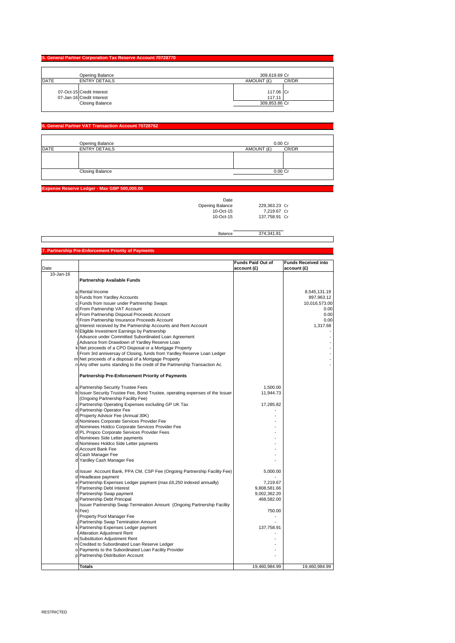| 5. General Partner Corporation Tax Reserve Account 70728770 |               |  |  |
|-------------------------------------------------------------|---------------|--|--|
| Opening Balance                                             | 309,619.69 Cr |  |  |
| <b>DATE</b>                                                 | AMOUNT (£)    |  |  |
| <b>ENTRY DETAILS</b>                                        | CR/DR         |  |  |
| 07-Oct-15 Credit Interest                                   | 117.06 Cr     |  |  |
| 07-Jan-16 Credit Interest                                   | 117.11        |  |  |
| <b>Closing Balance</b>                                      | 309,853.86 Cr |  |  |

### **Fral Partner VAT Transaction Account 7072876**

|             | Opening Balance        | $0.00C$ r  |       |
|-------------|------------------------|------------|-------|
| <b>DATE</b> | <b>ENTRY DETAILS</b>   | AMOUNT (£) | CR/DR |
|             |                        |            |       |
|             |                        |            |       |
|             |                        |            |       |
|             | <b>Closing Balance</b> | $0.00$ Cr  |       |
|             |                        |            |       |

#### **Expense Reserve Ledger - Max GBP 500,000.00**

| Date            |               |  |
|-----------------|---------------|--|
| Opening Balance | 229.363.23 Cr |  |
| $10-Ort-15$     | 7.219.67 Cr   |  |
| $10$ -Oct-15    | 137.758.91 C  |  |
|                 |               |  |

Balance 374,341.81

#### Date **Funds Paid Out of account (£) Funds Received into account (£)** 10-Jan-16 **Partnership Available Funds** a Rental Income 8,545,131.19<br>197,963.12 Euros from Yardley Accounts<br>10,016,573.00 EFunds from Issuer under Partnership Swaps and the set of the set of the set of the set of the s b Funds from Yardley Accounts c Funds from Issuer under Partnership Swaps 10,016,573.00 Experimental From Partnership VAT Account 0.000 out of the state of the state of the state of the state of the state of the state of the state of the state of the state of the state of the state of the state of the state o e From Partnership Disposal Proceeds Account (1999) 1999 (1999) 1999 (1999) 1999 (1999) 1999 (1999) 1999 (1999<br>Trom Partnership Insurance Proceeds Account (1999) 1999 (1999) 1999 (1999) 1999 (1999) 1999 (1999) 1999 (1999 From Partnership Insurance Proceeds Account 0.00<br>
Interest received by the Partnership Accounts and Rent Account nterest received by the Partnership Accounts and Rent Account **Eligible Investment Earnings by Partnership** Advance under Committed Subordinated Loan Agreement j Advance from Drawdown of Yardley Reserve Loan - k Net proceeds of a CPO Disposal or a Mortgage Property - From 3rd anniversay of Closing, funds from Yardley Reserve Loan Ledger m Net proceeds of a disposal of a Mortgage Property - n Any other sums standing to the credit of the Partnership Transaction Ac - **Partnership Pre-Enforcement Priority of Payments** a Partnership Security Trustee Fees<br>b Issuer Security Trustee Fee, Bond Trustee, operating expenses of the Issuer Partnership Operating Expenses excluding GP UK Tax 17,285.82 Partnership Operator Fee d Property Advisor Fee (Annual 30K) d Nominees Corporate Services Provider Fee - Nominees Holdco Corporate Services Provider Fee d PL Propco Corporate Services Provider Fees d Nominees Side Letter payments - d Nominees Holdco Side Letter payments - Account Bank Fee Cash Manager Fee Yardley Cash Manager Fee ssuer Account Bank, PPA CM, CSP Fee (Ongoing Partnership Facility Fee) | S,000.00 d Headlease payment<br>e Partnership Expenses Ledger payment (max £6,250 indexed annually) 7,219.67 F Partnership Debt Interest<br>
Partnership Debt Interest<br>
Partnership Swan payment<br>
Partnership Swan payment<br>
9,002,362.20 f Partnership Swap payment 9,002,362.20 e annoremp onap payment h Issuer Partnership Swap Termination Amount (Ongoing Partnership Facility Fee) 750.00 Property Pool Manager Fee j Partnership Swap Termination Amount - Partnership Expenses Ledger payment Alteration Adjustment Rent Substitution Adjustment Rent Credited to Subordinated Loan Reserve Ledger Payments to the Subordinated Loan Facility Provider  $\overline{\phantom{a}}$  -Partnership Distribution Account **Totals** 19,460,984.99 19,460,984.99 (Ongoing Partnership Facility Fee)

#### **7. Partnership Pre-Enforcement Priority of Payments**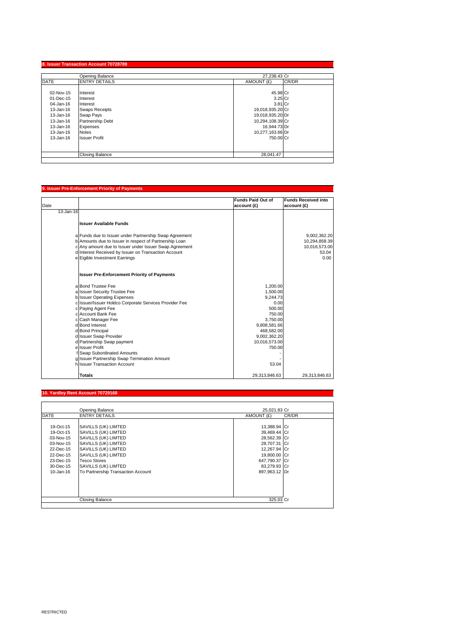|             | Opening Balance        | 27.238.43 Cr        |  |
|-------------|------------------------|---------------------|--|
| <b>DATE</b> | <b>ENTRY DETAILS</b>   | CR/DR<br>AMOUNT (£) |  |
| 02-Nov-15   |                        | 45.98 Cr            |  |
| 01-Dec-15   | Interest<br>Interest   | 3.25 Cr             |  |
| 04-Jan-16   | Interest               | 3.81 Cr             |  |
| 13-Jan-16   | <b>Swaps Receipts</b>  | 19,018,935.20 Cr    |  |
| 13-Jan-16   | Swap Pays              | 19,018,935.20 Dr    |  |
| 13-Jan-16   | Partnership Debt       | 10,294,108.39 Cr    |  |
| 13-Jan-16   | Expenses               | 16,944.73 Dr        |  |
| 13-Jan-16   | <b>Notes</b>           | 10,277,163.66 Dr    |  |
| 13-Jan-16   | <b>Issuer Profit</b>   | 750.00 Cr           |  |
|             |                        |                     |  |
|             | <b>Closing Balance</b> | 28,041.47           |  |

# **9. Issuer Pre-Enforcement Priority of Payments**

|           |                                                        | <b>Funds Paid Out of</b> | <b>Funds Received into</b> |
|-----------|--------------------------------------------------------|--------------------------|----------------------------|
| Date      |                                                        | account (£)              | account (£)                |
| 13-Jan-16 |                                                        |                          |                            |
|           |                                                        |                          |                            |
|           | <b>Issuer Available Funds</b>                          |                          |                            |
|           |                                                        |                          |                            |
|           | a Funds due to Issuer under Partnership Swap Agreement |                          | 9,002,362.20               |
|           | b Amounts due to Issuer in respect of Partnership Loan |                          | 10,294,858.39              |
|           | c Any amount due to Issuer under Issuer Swap Agreement |                          | 10,016,573.00              |
|           | d Interest Received by Issuer on Transaction Account   |                          | 53.04                      |
|           | e Eigible Investment Earnings                          |                          | 0.00                       |
|           | <b>Issuer Pre-Enforcement Priority of Payments</b>     |                          |                            |
|           | a Bond Trustee Fee                                     | 1.200.00                 |                            |
|           | a Issuer Security Trustee Fee                          | 1,500.00                 |                            |
|           | b Issuer Operating Expenses                            | 9.244.73                 |                            |
|           | c Issuer/Issuer Holdco Corporate Services Provider Fee | 0.00                     |                            |
|           | c Paying Agent Fee                                     | 500.00                   |                            |
|           | c Account Bank Fee                                     | 750.00                   |                            |
|           | c Cash Manager Fee                                     | 3,750.00                 |                            |
|           | d Bond Interest                                        | 9,808,581.66             |                            |
|           | d Bond Principal                                       | 468,582.00               |                            |
|           | d Issuer Swap Provider                                 | 9,002,362.20             |                            |
|           | d Partnership Swap payment                             | 10,016,573.00            |                            |
|           | e Issuer Profit                                        | 750.00                   |                            |
|           | Swap Subordinated Amounts                              |                          |                            |
|           | g Issuer Partnership Swap Termination Amount           |                          |                            |
|           | h Issuer Transaction Account                           | 53.04                    |                            |
|           | <b>Totals</b>                                          | 29,313,846.63            | 29,313,846.63              |

### **10. Yardley Rent Account 70729168**

|               | Opening Balance                    | 25,021.83 Cr  |       |
|---------------|------------------------------------|---------------|-------|
| <b>DATE</b>   | <b>ENTRY DETAILS</b>               | AMOUNT (£)    | CR/DR |
|               |                                    |               |       |
| 19-Oct-15     | SAVILLS (UK) LIMTED                | 13,388.94 Cr  |       |
| 19-Oct-15     | SAVILLS (UK) LIMTED                | 39,469.44 Cr  |       |
| 03-Nov-15     | SAVILLS (UK) LIMTED                | 28,562.39 Cr  |       |
| 03-Nov-15     | SAVILLS (UK) LIMTED                | 28,707.31 Cr  |       |
| 22-Dec-15     | SAVILLS (UK) LIMTED                | 12,267.94 Cr  |       |
| 22-Dec-15     | SAVILLS (UK) LIMTED                | 19,800.00 Cr  |       |
| 23-Dec-15     | <b>Tesco Stores</b>                | 647,790.37 Cr |       |
| 30-Dec-15     | SAVILLS (UK) LIMTED                | 83,279.93 Cr  |       |
| $10 - Jan-16$ | To Partnership Transaction Account | 897.963.12 Dr |       |
|               |                                    |               |       |
|               |                                    |               |       |
|               |                                    |               |       |
|               |                                    |               |       |
|               | Closing Balance                    | 325.03 Cr     |       |